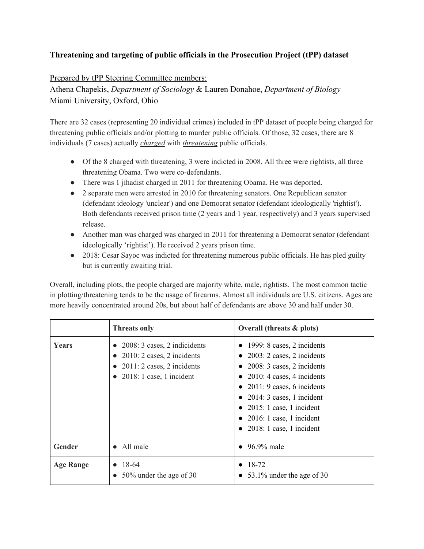## **Threatening and targeting of public officials in the Prosecution Project (tPP) dataset**

## Prepared by tPP Steering Committee members:

Athena Chapekis, *Department of Sociology* & Lauren Donahoe, *Department of Biology* Miami University, Oxford, Ohio

There are 32 cases (representing 20 individual crimes) included in tPP dataset of people being charged for threatening public officials and/or plotting to murder public officials. Of those, 32 cases, there are 8 individuals (7 cases) actually *charged* with *threatening* public officials.

- Of the 8 charged with threatening, 3 were indicted in 2008. All three were rightists, all three threatening Obama. Two were co-defendants.
- There was 1 jihadist charged in 2011 for threatening Obama. He was deported.
- 2 separate men were arrested in 2010 for threatening senators. One Republican senator (defendant ideology 'unclear') and one Democrat senator (defendant ideologically 'rightist'). Both defendants received prison time (2 years and 1 year, respectively) and 3 years supervised release.
- Another man was charged was charged in 2011 for threatening a Democrat senator (defendant ideologically 'rightist'). He received 2 years prison time.
- 2018: Cesar Sayoc was indicted for threatening numerous public officials. He has pled guilty but is currently awaiting trial.

Overall, including plots, the people charged are majority white, male, rightists. The most common tactic in plotting/threatening tends to be the usage of firearms. Almost all individuals are U.S. citizens. Ages are more heavily concentrated around 20s, but about half of defendants are above 30 and half under 30.

|                  | <b>Threats only</b>                                                                                                                      | Overall (threats $\&$ plots)                                                                                                                                                                                                                                                                                        |
|------------------|------------------------------------------------------------------------------------------------------------------------------------------|---------------------------------------------------------------------------------------------------------------------------------------------------------------------------------------------------------------------------------------------------------------------------------------------------------------------|
| <b>Years</b>     | 2008: 3 cases, 2 indicidents<br>$2010: 2 \text{ cases}, 2 \text{ incidents}$<br>$2011:2$ cases, 2 incidents<br>$2018:1$ case, 1 incident | $\bullet$ 1999: 8 cases, 2 incidents<br>$2003: 2 \text{ cases}, 2 \text{ incidents}$<br>2008: 3 cases, 2 incidents<br>• 2010: 4 cases, 4 incidents<br>• 2011: 9 cases, 6 incidents<br>• 2014: 3 cases, 1 incident<br>• 2015: 1 case, 1 incident<br>$\bullet$ 2016: 1 case, 1 incident<br>• 2018: 1 case, 1 incident |
| Gender           | • All male                                                                                                                               | $\bullet$ 96.9% male                                                                                                                                                                                                                                                                                                |
| <b>Age Range</b> | 18-64<br>50% under the age of 30                                                                                                         | • $18-72$<br>• 53.1% under the age of 30                                                                                                                                                                                                                                                                            |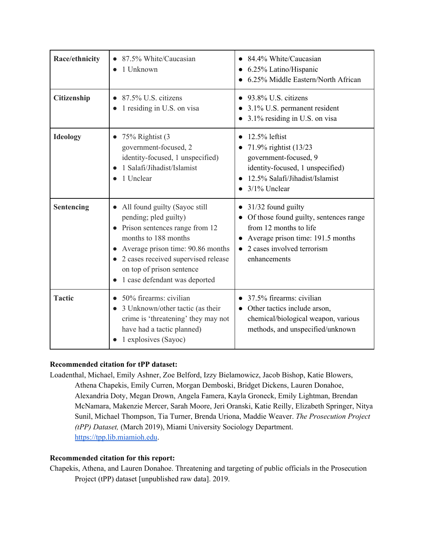| Race/ethnicity  | 87.5% White/Caucasian<br>1 Unknown                                                                                                                                                                                                                                          | • 84.4% White/Caucasian<br>• 6.25% Latino/Hispanic<br>6.25% Middle Eastern/North African                                                                                                 |
|-----------------|-----------------------------------------------------------------------------------------------------------------------------------------------------------------------------------------------------------------------------------------------------------------------------|------------------------------------------------------------------------------------------------------------------------------------------------------------------------------------------|
| Citizenship     | 87.5% U.S. citizens<br>1 residing in U.S. on visa                                                                                                                                                                                                                           | 93.8% U.S. citizens<br>3.1% U.S. permanent resident<br>3.1% residing in U.S. on visa                                                                                                     |
| <b>Ideology</b> | $\bullet$ 75% Rightist (3<br>government-focused, 2<br>identity-focused, 1 unspecified)<br>1 Salafi/Jihadist/Islamist<br>1 Unclear                                                                                                                                           | $12.5\%$ leftist<br>71.9% rightist (13/23)<br>government-focused, 9<br>identity-focused, 1 unspecified)<br>12.5% Salafi/Jihadist/Islamist<br>3/1% Unclear                                |
| Sentencing      | All found guilty (Sayoc still<br>$\bullet$<br>pending; pled guilty)<br>• Prison sentences range from 12<br>months to 188 months<br>Average prison time: 90.86 months<br>• 2 cases received supervised release<br>on top of prison sentence<br>1 case defendant was deported | 31/32 found guilty<br>$\bullet$<br>• Of those found guilty, sentences range<br>from 12 months to life<br>Average prison time: 191.5 months<br>2 cases involved terrorism<br>enhancements |
| <b>Tactic</b>   | 50% firearms: civilian<br>3 Unknown/other tactic (as their<br>crime is 'threatening' they may not<br>have had a tactic planned)<br>1 explosives (Sayoc)                                                                                                                     | 37.5% firearms: civilian<br>• Other tactics include arson,<br>chemical/biological weapon, various<br>methods, and unspecified/unknown                                                    |

## **Recommended citation for tPP dataset:**

Loadenthal, Michael, Emily Ashner, Zoe Belford, Izzy Bielamowicz, Jacob Bishop, Katie Blowers, Athena Chapekis, Emily Curren, Morgan Demboski, Bridget Dickens, Lauren Donahoe, Alexandria Doty, Megan Drown, Angela Famera, Kayla Groneck, Emily Lightman, Brendan McNamara, Makenzie Mercer, Sarah Moore, Jeri Oranski, Katie Reilly, Elizabeth Springer, Nitya Sunil, Michael Thompson, Tia Turner, Brenda Uriona, Maddie Weaver. *The Prosecution Project (tPP) Dataset,* (March 2019), Miami University Sociology Department. [https://tpp.lib.miamioh.edu](https://tpp.lib.miamioh.edu/).

## **Recommended citation for this report:**

Chapekis, Athena, and Lauren Donahoe. Threatening and targeting of public officials in the Prosecution Project (tPP) dataset [unpublished raw data]. 2019.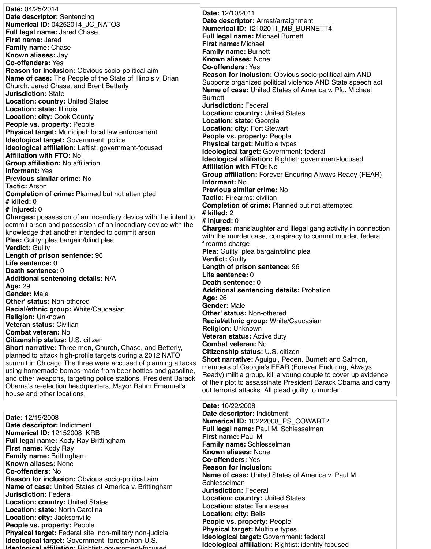**Date:** 04/25/2014 **Date descriptor:** Sentencing **Numerical ID:** 04252014\_JC\_NATO3 **Full legal name:** Jared Chase **First name:** Jared **Family name:** Chase **Known aliases:** Jay **Co-offenders:** Yes **Reason for inclusion:** Obvious socio-political aim **Name of case:** The People of the State of Illinois v. Brian Church, Jared Chase, and Brent Betterly **Jurisdiction:** State **Location: country:** United States **Location: state:** Illinois **Location: city:** Cook County **People vs. property:** People **Physical target:** Municipal: local law enforcement **Ideological target:** Government: police **Ideological affiliation:** Leftist: government-focused **Affiliation with FTO:** No **Group affiliation:** No affiliation **Informant:** Yes **Previous similar crime:** No **Tactic:** Arson **Completion of crime:** Planned but not attempted **# killed:** 0 **# injured:** 0 **Charges:** possession of an incendiary device with the intent to commit arson and possession of an incendiary device with the knowledge that another intended to commit arson **Plea:** Guilty: plea bargain/blind plea **Verdict:** Guilty **Length of prison sentence:** 96 **Life sentence:** 0 **Death sentence:** 0 **Additional sentencing details:** N/A **Age:** 29 **Gender:** Male **Other' status:** Non-othered **Racial/ethnic group:** White/Caucasian **Religion:** Unknown **Veteran status:** Civilian **Combat veteran:** No **Citizenship status:** U.S. citizen **Short narrative:** Three men, Church, Chase, and Betterly, planned to attack high-profile targets during a 2012 NATO summit in Chicago The three were accused of planning attacks using homemade bombs made from beer bottles and gasoline, and other weapons, targeting police stations, President Barack **Date:** 12/10/2011 **Date descriptor:** Arrest/arraignment **Numerical ID:** 12102011\_MB\_BURNETT4 **Full legal name:** Michael Burnett **First name:** Michael **Family name:** Burnett **Known aliases:** None **Co-offenders:** Yes **Reason for inclusion:** Obvious socio-political aim AND Supports organized political violence AND State speech act **Name of case:** United States of America v. Pfc. Michael **Burnett Jurisdiction:** Federal **Location: country:** United States **Location: state:** Georgia **Location: city:** Fort Stewart **People vs. property:** People **Physical target:** Multiple types **Ideological target:** Government: federal **Ideological affiliation:** Rightist: government-focused **Affiliation with FTO:** No **Group affiliation:** Forever Enduring Always Ready (FEAR) **Informant:** No **Previous similar crime:** No **Tactic:** Firearms: civilian **Completion of crime:** Planned but not attempted **# killed:** 2 **# injured:** 0 **Charges:** manslaughter and illegal gang activity in connection with the murder case, conspiracy to commit murder, federal firearms charge **Plea:** Guilty: plea bargain/blind plea **Verdict:** Guilty **Length of prison sentence:** 96 **Life sentence:** 0 **Death sentence:** 0 **Additional sentencing details:** Probation **Age:** 26 **Gender:** Male **Other' status:** Non-othered **Racial/ethnic group:** White/Caucasian **Religion:** Unknown **Veteran status:** Active duty **Combat veteran:** No **Citizenship status:** U.S. citizen **Short narrative:** Aguigui, Peden, Burnett and Salmon, members of Georgia's FEAR (Forever Enduring, Always Ready) militia group, kill a young couple to cover up evidence of their plot to assassinate President Barack Obama and carry

| Obama's re-election headquarters, Mayor Rahm Emanuel's                                                                                                                                                                                                                                                                                                                                                                                                                                                                                                                                                                                                                                                                                                                                      | UI MUM PIUL IU ASSASSIMAIU T TUSIUUMI DAFAUN UDAMIA AMU UAM Y                                                                                                                                                                                                                                                                                                                                                                                                                                                                                                                                                                                                                                                                |
|---------------------------------------------------------------------------------------------------------------------------------------------------------------------------------------------------------------------------------------------------------------------------------------------------------------------------------------------------------------------------------------------------------------------------------------------------------------------------------------------------------------------------------------------------------------------------------------------------------------------------------------------------------------------------------------------------------------------------------------------------------------------------------------------|------------------------------------------------------------------------------------------------------------------------------------------------------------------------------------------------------------------------------------------------------------------------------------------------------------------------------------------------------------------------------------------------------------------------------------------------------------------------------------------------------------------------------------------------------------------------------------------------------------------------------------------------------------------------------------------------------------------------------|
| house and other locations.                                                                                                                                                                                                                                                                                                                                                                                                                                                                                                                                                                                                                                                                                                                                                                  | out terrorist attacks. All plead guilty to murder.                                                                                                                                                                                                                                                                                                                                                                                                                                                                                                                                                                                                                                                                           |
| <b>Date: 12/15/2008</b><br>Date descriptor: Indictment<br><b>Numerical ID: 12152008_KRB</b><br><b>Full legal name: Kody Ray Brittingham</b><br><b>First name: Kody Ray</b><br><b>Family name: Brittingham</b><br><b>Known aliases: None</b><br><b>Co-offenders: No</b><br><b>Reason for inclusion:</b> Obvious socio-political aim<br><b>Name of case:</b> United States of America v. Brittingham<br><b>Jurisdiction: Federal</b><br><b>Location: country: United States</b><br><b>Location: state: North Carolina</b><br><b>Location: city: Jacksonville</b><br><b>People vs. property: People</b><br><b>Physical target:</b> Federal site: non-military non-judicial<br><b>Ideological target:</b> Government: foreign/non-U.S.<br>Ideological affiliation: Rightiet: government-focused | <b>Date: 10/22/2008</b><br>Date descriptor: Indictment<br>Numerical ID: 10222008 PS COWART2<br><b>Full legal name: Paul M. Schlesselman</b><br><b>First name: Paul M.</b><br><b>Family name: Schlesselman</b><br><b>Known aliases: None</b><br><b>Co-offenders: Yes</b><br><b>Reason for inclusion:</b><br><b>Name of case:</b> United States of America v. Paul M.<br>Schlesselman<br><b>Jurisdiction: Federal</b><br><b>Location: country: United States</b><br><b>Location: state: Tennessee</b><br><b>Location: city: Bells</b><br>People vs. property: People<br><b>Physical target: Multiple types</b><br><b>Ideological target: Government: federal</b><br><b>Ideological affiliation: Rightist: identity-focused</b> |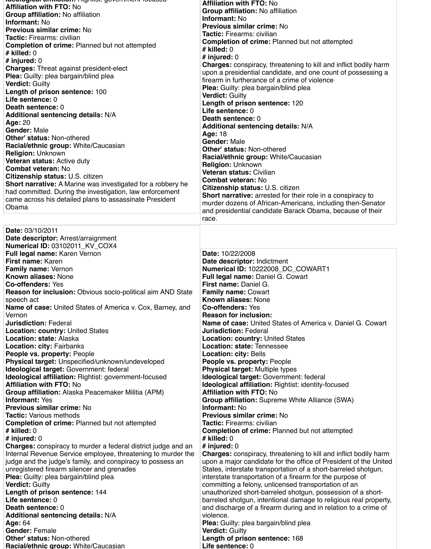| pucological anmanon. mynusi. government locuseu<br><b>Affiliation with FTO: No</b>               | <b>Affiliation with FTO: No</b>                                                                                                  |
|--------------------------------------------------------------------------------------------------|----------------------------------------------------------------------------------------------------------------------------------|
| <b>Group affiliation:</b> No affiliation                                                         | <b>Group affiliation: No affiliation</b>                                                                                         |
| <b>Informant: No</b>                                                                             | <b>Informant: No</b>                                                                                                             |
| <b>Previous similar crime: No</b>                                                                | <b>Previous similar crime: No</b>                                                                                                |
| <b>Tactic: Firearms: civilian</b>                                                                | <b>Tactic:</b> Firearms: civilian                                                                                                |
| <b>Completion of crime: Planned but not attempted</b>                                            | <b>Completion of crime:</b> Planned but not attempted                                                                            |
| $#$ killed: 0                                                                                    | # killed: $0$                                                                                                                    |
| # injured: $0$                                                                                   | # injured: $0$                                                                                                                   |
| <b>Charges: Threat against president-elect</b>                                                   | <b>Charges:</b> conspiracy, threatening to kill and inflict bodily harm                                                          |
| <b>Plea:</b> Guilty: plea bargain/blind plea                                                     | upon a presidential candidate, and one count of possessing a                                                                     |
| <b>Verdict: Guilty</b>                                                                           | firearm in furtherance of a crime of violence                                                                                    |
| Length of prison sentence: 100                                                                   | <b>Plea:</b> Guilty: plea bargain/blind plea                                                                                     |
| Life sentence: 0                                                                                 | <b>Verdict: Guilty</b>                                                                                                           |
| <b>Death sentence: 0</b>                                                                         | Length of prison sentence: 120                                                                                                   |
| <b>Additional sentencing details: N/A</b>                                                        | Life sentence: 0                                                                                                                 |
| <b>Age: 20</b>                                                                                   | <b>Death sentence: 0</b>                                                                                                         |
| <b>Gender: Male</b>                                                                              | <b>Additional sentencing details: N/A</b>                                                                                        |
| <b>Other' status: Non-othered</b>                                                                | <b>Age: 18</b>                                                                                                                   |
| <b>Racial/ethnic group: White/Caucasian</b>                                                      | <b>Gender: Male</b>                                                                                                              |
| <b>Religion: Unknown</b>                                                                         | <b>Other' status: Non-othered</b>                                                                                                |
| <b>Veteran status: Active duty</b>                                                               | <b>Racial/ethnic group: White/Caucasian</b>                                                                                      |
| <b>Combat veteran: No</b>                                                                        | <b>Religion: Unknown</b>                                                                                                         |
| <b>Citizenship status: U.S. citizen</b>                                                          | <b>Veteran status: Civilian</b>                                                                                                  |
| <b>Short narrative:</b> A Marine was investigated for a robbery he                               | <b>Combat veteran: No</b>                                                                                                        |
| had committed. During the investigation, law enforcement                                         | <b>Citizenship status: U.S. citizen</b>                                                                                          |
| came across his detailed plans to assassinate President                                          | <b>Short narrative:</b> arrested for their role in a conspiracy to<br>murder dozens of African-Americans, including then-Senator |
| Obama                                                                                            | and presidential candidate Barack Obama, because of their                                                                        |
|                                                                                                  | race.                                                                                                                            |
| <b>Date: 03/10/2011</b>                                                                          |                                                                                                                                  |
| Date descriptor: Arrest/arraignment                                                              |                                                                                                                                  |
| <b>Numerical ID: 03102011_KV_COX4</b>                                                            |                                                                                                                                  |
| <b>Full legal name: Karen Vernon</b>                                                             | <b>Date: 10/22/2008</b>                                                                                                          |
| <b>First name: Karen</b>                                                                         | Date descriptor: Indictment                                                                                                      |
| <b>Family name: Vernon</b>                                                                       | Numerical ID: 10222008_DC_COWART1                                                                                                |
| <b>Known aliases: None</b>                                                                       | <b>Full legal name: Daniel G. Cowart</b>                                                                                         |
| <b>Co-offenders: Yes</b>                                                                         | <b>First name: Daniel G.</b>                                                                                                     |
|                                                                                                  |                                                                                                                                  |
| <b>Reason for inclusion:</b> Obvious socio-political aim AND State                               | <b>Family name: Cowart</b>                                                                                                       |
| speech act                                                                                       | <b>Known aliases: None</b>                                                                                                       |
| <b>Name of case:</b> United States of America v. Cox, Barney, and                                | <b>Co-offenders: Yes</b>                                                                                                         |
| Vernon                                                                                           | <b>Reason for inclusion:</b>                                                                                                     |
| <b>Jurisdiction: Federal</b>                                                                     | <b>Name of case: United States of America v. Daniel G. Cowart</b>                                                                |
| <b>Location: country: United States</b>                                                          | <b>Jurisdiction: Federal</b>                                                                                                     |
| <b>Location: state: Alaska</b>                                                                   | <b>Location: country: United States</b>                                                                                          |
| <b>Location: city: Fairbanks</b>                                                                 | <b>Location: state: Tennessee</b>                                                                                                |
| <b>People vs. property: People</b>                                                               | <b>Location: city: Bells</b>                                                                                                     |
| <b>Physical target: Unspecified/unknown/undeveloped</b>                                          | <b>People vs. property: People</b>                                                                                               |
| Ideological target: Government: federal<br>Ideological affiliation: Rightist: government-focused | <b>Physical target: Multiple types</b><br><b>Ideological target: Government: federal</b>                                         |

**Affiliation with FTO:** No **Group affiliation:** Alaska Peacemaker Militia (APM) **Informant:** Yes **Previous similar crime:** No **Tactic:** Various methods **Completion of crime:** Planned but not attempted **# killed:** 0 **# injured:** 0 **Charges:** conspiracy to murder a federal district judge and an Internal Revenue Service employee, threatening to murder the judge and the judge's family, and conspiracy to possess an unregistered firearm silencer and grenades **Plea:** Guilty: plea bargain/blind plea **Verdict:** Guilty **Length of prison sentence:** 144 **Life sentence:** 0 **Death sentence:** 0 **Additional sentencing details:** N/A **Age:** 64 **Gender:** Female **Other' status:** Non-othered **Racial/ethnic group:** White/Caucasian

**Ideological affiliation:** Rightist: identity-focused **Affiliation with FTO:** No **Group affiliation:** Supreme White Alliance (SWA) **Informant:** No **Previous similar crime:** No **Tactic:** Firearms: civilian **Completion of crime:** Planned but not attempted **# killed:** 0 **# injured:** 0 **Charges:** conspiracy, threatening to kill and inflict bodily harm upon a major candidate for the office of President of the United States, interstate transportation of a short-barreled shotgun, interstate transportation of a firearm for the purpose of committing a felony, unlicensed transportation of an unauthorized short-barreled shotgun, possession of a shortbarreled shotgun, intentional damage to religious real property, and discharge of a firearm during and in relation to a crime of violence. **Plea:** Guilty: plea bargain/blind plea **Verdict:** Guilty **Length of prison sentence:** 168 **Life sentence:** 0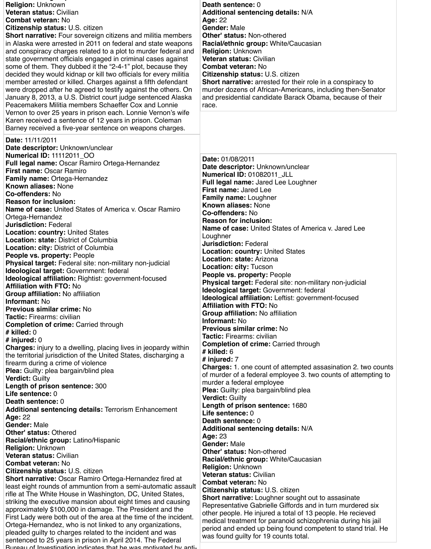**Racial/ethnic group:** White/Caucasian

| <b>Religion: Unknown</b><br><b>Veteran status: Civilian</b><br><b>Combat veteran: No</b><br><b>Citizenship status: U.S. citizen</b><br><b>Short narrative:</b> Four sovereign citizens and militia members<br>in Alaska were arrested in 2011 on federal and state weapons<br>and conspiracy charges related to a plot to murder federal and<br>state government officials engaged in criminal cases against<br>some of them. They dubbed it the "2-4-1" plot, because they<br>decided they would kidnap or kill two officials for every militia<br>member arrested or killed. Charges against a fifth defendant<br>were dropped after he agreed to testify against the others. On<br>January 8, 2013, a U.S. District court judge sentenced Alaska<br>Peacemakers Militia members Schaeffer Cox and Lonnie<br>Vernon to over 25 years in prison each. Lonnie Vernon's wife | <b>Death sentence: 0</b><br><b>Additional sentencing details: N/A</b><br><b>Age: 22</b><br><b>Gender: Male</b><br><b>Other' status: Non-othered</b><br><b>Racial/ethnic group: White/Caucasian</b><br><b>Religion: Unknown</b><br><b>Veteran status: Civilian</b><br><b>Combat veteran: No</b><br><b>Citizenship status: U.S. citizen</b><br><b>Short narrative:</b> arrested for their role in a conspiracy to<br>murder dozens of African-Americans, including then-Senator<br>and presidential candidate Barack Obama, because of their<br>race. |
|-----------------------------------------------------------------------------------------------------------------------------------------------------------------------------------------------------------------------------------------------------------------------------------------------------------------------------------------------------------------------------------------------------------------------------------------------------------------------------------------------------------------------------------------------------------------------------------------------------------------------------------------------------------------------------------------------------------------------------------------------------------------------------------------------------------------------------------------------------------------------------|-----------------------------------------------------------------------------------------------------------------------------------------------------------------------------------------------------------------------------------------------------------------------------------------------------------------------------------------------------------------------------------------------------------------------------------------------------------------------------------------------------------------------------------------------------|
| Karen received a sentence of 12 years in prison. Coleman<br>Barney received a five-year sentence on weapons charges.<br>Date: 11/11/2011<br>Date descriptor: Unknown/unclear                                                                                                                                                                                                                                                                                                                                                                                                                                                                                                                                                                                                                                                                                                |                                                                                                                                                                                                                                                                                                                                                                                                                                                                                                                                                     |
| <b>Numerical ID: 11112011 OO</b><br><b>Full legal name: Oscar Ramiro Ortega-Hernandez</b><br><b>First name: Oscar Ramiro</b><br><b>Family name: Ortega-Hernandez</b><br><b>Known aliases: None</b><br><b>Co-offenders: No</b><br><b>Reason for inclusion:</b><br>Name of case: United States of America v. Oscar Ramiro<br>Ortega-Hernandez<br><b>Jurisdiction: Federal</b><br><b>Location: country: United States</b><br><b>Location: state: District of Columbia</b>                                                                                                                                                                                                                                                                                                                                                                                                      | Date: 01/08/2011<br>Date descriptor: Unknown/unclear<br>Numerical ID: 01082011_JLL<br><b>Full legal name: Jared Lee Loughner</b><br><b>First name: Jared Lee</b><br><b>Family name: Loughner</b><br><b>Known aliases: None</b><br><b>Co-offenders: No</b><br><b>Reason for inclusion:</b><br><b>Name of case:</b> United States of America v. Jared Lee<br>Loughner<br><b>Jurisdiction: Federal</b>                                                                                                                                                 |
| <b>Location: city: District of Columbia</b><br><b>People vs. property: People</b><br><b>Physical target:</b> Federal site: non-military non-judicial<br>Ideological target: Government: federal<br><b>Ideological affiliation:</b> Rightist: government-focused<br><b>Affiliation with FTO: No</b><br><b>Group affiliation:</b> No affiliation<br><b>Informant: No</b><br><b>Previous similar crime: No</b><br><b>Tactic:</b> Firearms: civilian<br><b>Completion of crime: Carried through</b><br>$#$ killed: $0$                                                                                                                                                                                                                                                                                                                                                          | <b>Location: country: United States</b><br><b>Location: state: Arizona</b><br><b>Location: city: Tucson</b><br>People vs. property: People<br>Physical target: Federal site: non-military non-judicial<br>Ideological target: Government: federal<br>Ideological affiliation: Leftist: government-focused<br><b>Affiliation with FTO: No</b><br><b>Group affiliation: No affiliation</b><br><b>Informant: No</b><br><b>Previous similar crime: No</b>                                                                                               |
| # injured: $0$<br><b>Charges:</b> injury to a dwelling, placing lives in jeopardy within<br>the territorial jurisdiction of the United States, discharging a<br>firearm during a crime of violence<br><b>Plea:</b> Guilty: plea bargain/blind plea                                                                                                                                                                                                                                                                                                                                                                                                                                                                                                                                                                                                                          | <b>Tactic:</b> Firearms: civilian<br><b>Completion of crime: Carried through</b><br>$#$ killed: $6$<br># injured: $7$<br><b>Charges: 1. one count of attempted assasination 2. two counts</b><br>of murder of a federal employee 3. two counts of attempting to                                                                                                                                                                                                                                                                                     |

**Verdict:** Guilty

**Length of prison sentence:** 300 **Life sentence:** 0 **Death sentence:** 0 **Additional sentencing details:** Terrorism Enhancement **Age:** 22 **Gender:** Male **Other' status:** Othered **Racial/ethnic group:** Latino/Hispanic **Religion:** Unknown **Veteran status:** Civilian **Combat veteran:** No **Citizenship status:** U.S. citizen **Short narrative:** Oscar Ramiro Ortega-Hernandez fired at least eight rounds of ammuntion from a semi-automatic assault rifle at The White House in Washington, DC, United States, striking the executive mansion about eight times and causing approximately \$100,000 in damage. The President and the First Lady were both out of the area at the time of the incident. Ortega-Hernandez, who is not linked to any organizations, pleaded guilty to charges related to the incident and was sentenced to 25 years in prison in April 2014. The Federal Bureau of Investigation indicates that he was motivated by anti-

murder a federal employee **Plea:** Guilty: plea bargain/blind plea **Verdict:** Guilty **Length of prison sentence:** 1680 **Life sentence:** 0 **Death sentence:** 0 **Additional sentencing details:** N/A **Age:** 23 **Gender:** Male **Other' status:** Non-othered **Racial/ethnic group:** White/Caucasian **Religion:** Unknown **Veteran status:** Civilian **Combat veteran:** No **Citizenship status:** U.S. citizen **Short narrative:** Loughner sought out to assasinate Representative Gabrielle Giffords and in turn murdered six other people. He injured a total of 13 people. He recieved medical treatment for paranoid schizophrenia during his jail period and ended up being found competent to stand trial. He was found guilty for 19 counts total.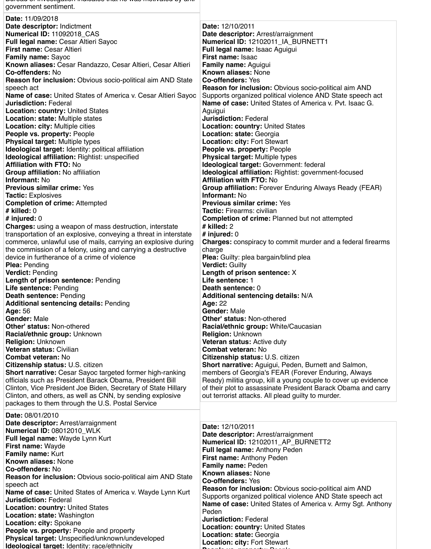| government sentiment.                                                |                                                                    |
|----------------------------------------------------------------------|--------------------------------------------------------------------|
| Date: 11/09/2018                                                     |                                                                    |
| Date descriptor: Indictment                                          | Date: 12/10/2011                                                   |
| Numerical ID: 11092018 CAS                                           | Date descriptor: Arrest/arraignment                                |
| <b>Full legal name: Cesar Altieri Sayoc</b>                          | Numerical ID: 12102011_IA_BURNETT1                                 |
| <b>First name: Cesar Altieri</b>                                     | Full legal name: Isaac Aguigui                                     |
| <b>Family name: Sayoc</b>                                            | <b>First name: Isaac</b>                                           |
| Known aliases: Cesar Randazzo, Cesar Altieri, Cesar Altieri          | <b>Family name: Aguigui</b>                                        |
| <b>Co-offenders: No</b>                                              | <b>Known aliases: None</b>                                         |
| <b>Reason for inclusion:</b> Obvious socio-political aim AND State   | <b>Co-offenders: Yes</b>                                           |
| speech act                                                           | <b>Reason for inclusion:</b> Obvious socio-political aim AND       |
| <b>Name of case:</b> United States of America v. Cesar Altieri Sayoc | Supports organized political violence AND State speech act         |
| <b>Jurisdiction: Federal</b>                                         | <b>Name of case:</b> United States of America v. Pvt. Isaac G.     |
| <b>Location: country: United States</b>                              | Aguigui                                                            |
| <b>Location: state: Multiple states</b>                              | <b>Jurisdiction: Federal</b>                                       |
| <b>Location: city: Multiple cities</b>                               | <b>Location: country: United States</b>                            |
| <b>People vs. property: People</b>                                   | Location: state: Georgia                                           |
| <b>Physical target: Multiple types</b>                               | <b>Location: city: Fort Stewart</b>                                |
| <b>Ideological target: Identity: political affiliation</b>           | <b>People vs. property: People</b>                                 |
| <b>Ideological affiliation: Rightist: unspecified</b>                | <b>Physical target: Multiple types</b>                             |
| <b>Affiliation with FTO: No</b>                                      | Ideological target: Government: federal                            |
| Group affiliation: No affiliation                                    | Ideological affiliation: Rightist: government-focused              |
| <b>Informant: No</b>                                                 | <b>Affiliation with FTO: No</b>                                    |
| <b>Previous similar crime: Yes</b>                                   | <b>Group affiliation:</b> Forever Enduring Always Ready (FEAR)     |
| <b>Tactic: Explosives</b>                                            | <b>Informant: No</b>                                               |
| <b>Completion of crime: Attempted</b>                                | <b>Previous similar crime: Yes</b>                                 |
| $#$ killed: $0$                                                      | <b>Tactic: Firearms: civilian</b>                                  |
| # injured: $0$                                                       | <b>Completion of crime: Planned but not attempted</b>              |
| <b>Charges:</b> using a weapon of mass destruction, interstate       | $#$ killed: 2                                                      |
| transportation of an explosive, conveying a threat in interstate     | # injured: $0$                                                     |
| commerce, unlawful use of mails, carrying an explosive during        | <b>Charges:</b> conspiracy to commit murder and a federal firearms |
| the commission of a felony, using and carrying a destructive         | charge                                                             |
| device in furtherance of a crime of violence                         | <b>Plea:</b> Guilty: plea bargain/blind plea                       |
| <b>Plea: Pending</b>                                                 | <b>Verdict: Guilty</b>                                             |
| <b>Verdict: Pending</b>                                              | Length of prison sentence: X                                       |
| <b>Length of prison sentence: Pending</b>                            | Life sentence: 1                                                   |
| <b>Life sentence: Pending</b>                                        | <b>Death sentence: 0</b>                                           |
| <b>Death sentence: Pending</b>                                       | <b>Additional sentencing details: N/A</b>                          |
| <b>Additional sentencing details: Pending</b>                        | <b>Age: 22</b>                                                     |
| <b>Age: 56</b>                                                       | <b>Gender: Male</b>                                                |
| <b>Gender: Male</b>                                                  | <b>Other' status: Non-othered</b>                                  |
| <b>Other' status: Non-othered</b>                                    | <b>Racial/ethnic group: White/Caucasian</b>                        |
| Racial/ethnic group: Unknown                                         | <b>Religion: Unknown</b>                                           |
| <b>Religion: Unknown</b>                                             | <b>Veteran status: Active duty</b>                                 |
| <b>Veteran status: Civilian</b>                                      | <b>Combat veteran: No</b>                                          |
| <b>Combat veteran: No</b>                                            | <b>Citizenship status: U.S. citizen</b>                            |
| <b>Citizenship status: U.S. citizen</b>                              | <b>Short narrative:</b> Aguigui, Peden, Burnett and Salmon,        |
| <b>Short narrative:</b> Cesar Sayoc targeted former high-ranking     | members of Georgia's FEAR (Forever Enduring, Always                |
| officials such as President Barack Obama, President Bill             | Ready) militia group, kill a young couple to cover up evidence     |

Clinton, Vice President Joe Biden, Secretary of State Hillary Clinton, and others, as well as CNN, by sending explosive packages to them through the U.S. Postal Service

 $\mu$ u indicates that he was motivated by

of their plot to assassinate President Barack Obama and carry out terrorist attacks. All plead guilty to murder.

**Date:** 08/01/2010 **Date descriptor:** Arrest/arraignment **Numerical ID:** 08012010\_WLK **Full legal name:** Wayde Lynn Kurt **First name:** Wayde **Family name:** Kurt **Known aliases:** None **Co-offenders:** No **Reason for inclusion:** Obvious socio-political aim AND State speech act **Name of case:** United States of America v. Wayde Lynn Kurt **Jurisdiction:** Federal **Location: country:** United States **Location: state:** Washington **Location: city:** Spokane **People vs. property:** People and property **Physical target:** Unspecified/unknown/undeveloped **Ideological target:** Identity: race/ethnicity

**Date:** 12/10/2011 **Date descriptor:** Arrest/arraignment **Numerical ID:** 12102011\_AP\_BURNETT2 **Full legal name:** Anthony Peden **First name:** Anthony Peden **Family name:** Peden **Known aliases:** None **Co-offenders:** Yes **Reason for inclusion:** Obvious socio-political aim AND Supports organized political violence AND State speech act **Name of case:** United States of America v. Army Sgt. Anthony Peden **Jurisdiction:** Federal **Location: country:** United States **Location: state:** Georgia **Location: city:** Fort Stewart **People vs. property:** People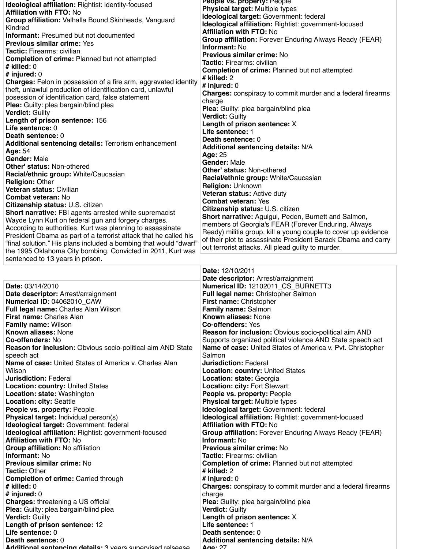**Ideological target:** Identity: race/ethnicity

| <b>Ideological affiliation: Rightist: identity-focused</b>             | <b>People VS. property: People</b>                                  |
|------------------------------------------------------------------------|---------------------------------------------------------------------|
| <b>Affiliation with FTO: No</b>                                        | <b>Physical target: Multiple types</b>                              |
| Group affiliation: Valhalla Bound Skinheads, Vanguard                  | Ideological target: Government: federal                             |
|                                                                        | <b>Ideological affiliation:</b> Rightist: government-focused        |
| Kindred                                                                | <b>Affiliation with FTO: No</b>                                     |
| <b>Informant:</b> Presumed but not documented                          | <b>Group affiliation:</b> Forever Enduring Always Ready (FEAR)      |
| <b>Previous similar crime: Yes</b>                                     | <b>Informant: No</b>                                                |
| <b>Tactic:</b> Firearms: civilian                                      | <b>Previous similar crime: No</b>                                   |
| <b>Completion of crime: Planned but not attempted</b>                  |                                                                     |
| # killed: $0$                                                          | <b>Tactic: Firearms: civilian</b>                                   |
| # injured: $0$                                                         | <b>Completion of crime:</b> Planned but not attempted               |
| <b>Charges:</b> Felon in possession of a fire arm, aggravated identity | $#$ killed: 2                                                       |
| theft, unlawful production of identification card, unlawful            | # injured: $0$                                                      |
|                                                                        | <b>Charges:</b> conspiracy to commit murder and a federal firearms  |
| posession of identification card, false statement                      | charge                                                              |
| <b>Plea:</b> Guilty: plea bargain/blind plea                           | <b>Plea:</b> Guilty: plea bargain/blind plea                        |
| <b>Verdict: Guilty</b>                                                 | <b>Verdict: Guilty</b>                                              |
| Length of prison sentence: 156                                         | Length of prison sentence: X                                        |
| Life sentence: 0                                                       |                                                                     |
| <b>Death sentence: 0</b>                                               | Life sentence: 1                                                    |
| <b>Additional sentencing details: Terrorism enhancement</b>            | <b>Death sentence: 0</b>                                            |
| <b>Age: 54</b>                                                         | <b>Additional sentencing details: N/A</b>                           |
| <b>Gender: Male</b>                                                    | <b>Age: 25</b>                                                      |
| <b>Other' status: Non-othered</b>                                      | <b>Gender: Male</b>                                                 |
|                                                                        | <b>Other' status: Non-othered</b>                                   |
| Racial/ethnic group: White/Caucasian                                   | <b>Racial/ethnic group: White/Caucasian</b>                         |
| <b>Religion: Other</b>                                                 | <b>Religion: Unknown</b>                                            |
| <b>Veteran status: Civilian</b>                                        | <b>Veteran status: Active duty</b>                                  |
| <b>Combat veteran: No</b>                                              | <b>Combat veteran: Yes</b>                                          |
| <b>Citizenship status: U.S. citizen</b>                                |                                                                     |
| <b>Short narrative:</b> FBI agents arrested white supremacist          | <b>Citizenship status: U.S. citizen</b>                             |
| Wayde Lynn Kurt on federal gun and forgery charges.                    | <b>Short narrative:</b> Aguigui, Peden, Burnett and Salmon,         |
|                                                                        |                                                                     |
|                                                                        | members of Georgia's FEAR (Forever Enduring, Always                 |
| According to authorities, Kurt was planning to assassinate             | Ready) militia group, kill a young couple to cover up evidence      |
| President Obama as part of a terrorist attack that he called his       | of their plot to assassinate President Barack Obama and carry       |
| "final solution." His plans included a bombing that would "dwarf"      | out terrorist attacks. All plead guilty to murder.                  |
| the 1995 Oklahoma City bombing. Convicted in 2011, Kurt was            |                                                                     |
| sentenced to 13 years in prison.                                       |                                                                     |
|                                                                        |                                                                     |
|                                                                        | <b>Date: 12/10/2011</b>                                             |
|                                                                        | Date descriptor: Arrest/arraignment                                 |
| <b>Date: 03/14/2010</b>                                                | Numerical ID: 12102011_CS_BURNETT3                                  |
| Date descriptor: Arrest/arraignment                                    | <b>Full legal name: Christopher Salmon</b>                          |
| Numerical ID: 04062010_CAW                                             | <b>First name: Christopher</b>                                      |
| <b>Full legal name: Charles Alan Wilson</b>                            | <b>Family name: Salmon</b>                                          |
| <b>First name: Charles Alan</b>                                        | <b>Known aliases: None</b>                                          |
| <b>Family name: Wilson</b>                                             | <b>Co-offenders: Yes</b>                                            |
| <b>Known aliases: None</b>                                             | <b>Reason for inclusion:</b> Obvious socio-political aim AND        |
|                                                                        |                                                                     |
| <b>Co-offenders: No</b>                                                | Supports organized political violence AND State speech act          |
| <b>Reason for inclusion:</b> Obvious socio-political aim AND State     | <b>Name of case:</b> United States of America v. Pvt. Christopher   |
| speech act                                                             | Salmon                                                              |
| <b>Name of case:</b> United States of America v. Charles Alan          | <b>Jurisdiction: Federal</b>                                        |
| Wilson<br><b>Jurisdiction: Federal</b>                                 | <b>Location: country: United States</b><br>Location: state: Georgia |

**Location: country:** United States **Location: state:** Washington **Location: city:** Seattle **People vs. property:** People **Physical target:** Individual person(s) **Ideological target:** Government: federal **Ideological affiliation:** Rightist: government-focused **Affiliation with FTO:** No **Group affiliation:** No affiliation **Informant:** No **Previous similar crime:** No **Tactic:** Other **Completion of crime:** Carried through **# killed:** 0 **# injured:** 0 **Charges:** threatening a US official **Plea:** Guilty: plea bargain/blind plea **Verdict:** Guilty **Length of prison sentence:** 12 **Life sentence:** 0 **Death sentence:** 0 **Additional sentencing details:** 3 years supervised relsease

**Location: city:** Fort Stewart **People vs. property:** People **Physical target:** Multiple types **Ideological target:** Government: federal **Ideological affiliation:** Rightist: government-focused **Affiliation with FTO:** No **Group affiliation:** Forever Enduring Always Ready (FEAR) **Informant:** No **Previous similar crime:** No **Tactic:** Firearms: civilian **Completion of crime:** Planned but not attempted **# killed:** 2 **# injured:** 0 **Charges:** conspiracy to commit murder and a federal firearms charge **Plea:** Guilty: plea bargain/blind plea **Verdict:** Guilty **Length of prison sentence:** X **Life sentence:** 1 **Death sentence:** 0 **Additional sentencing details:** N/A **Age:** 27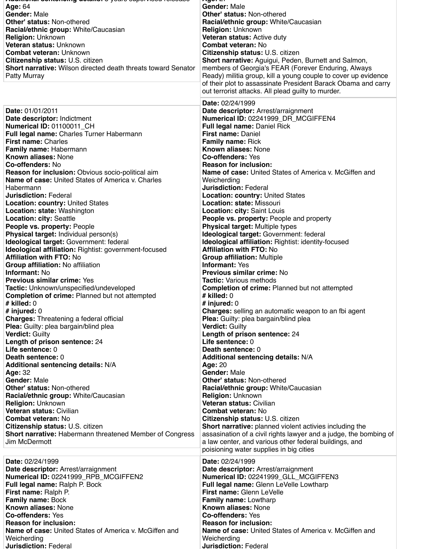**Additional sentencing details:** 3 years supervised relsease **Age:** 27

| <b>Age: 64</b><br><b>Gender: Male</b><br><b>Other' status: Non-othered</b><br><b>Racial/ethnic group: White/Caucasian</b><br><b>Religion: Unknown</b><br><b>Veteran status: Unknown</b><br><b>Combat veteran: Unknown</b><br><b>Citizenship status: U.S. citizen</b><br><b>Short narrative:</b> Wilson directed death threats toward Senator<br><b>Patty Murray</b>                                                                                                                                                                                                                                                                                                                                                                                                                                                                                                                                                                                                                                                                                                                                                                                                                                                                                                                                                                                                                                                                                                                                                                                                                                                                                       | <b>Gender: Male</b><br><b>Other' status: Non-othered</b><br>Racial/ethnic group: White/Caucasian<br><b>Religion: Unknown</b><br><b>Veteran status: Active duty</b><br><b>Combat veteran: No</b><br><b>Citizenship status: U.S. citizen</b><br><b>Short narrative:</b> Aguigui, Peden, Burnett and Salmon,<br>members of Georgia's FEAR (Forever Enduring, Always<br>Ready) militia group, kill a young couple to cover up evidence<br>of their plot to assassinate President Barack Obama and carry<br>out terrorist attacks. All plead guilty to murder.                                                                                                                                                                                                                                                                                                                                                                                                                                                                                                                                                                                                                                                                                                                                                                                                                                                                                                                                                                                                                                                                                                                                                                                                                                       |
|-----------------------------------------------------------------------------------------------------------------------------------------------------------------------------------------------------------------------------------------------------------------------------------------------------------------------------------------------------------------------------------------------------------------------------------------------------------------------------------------------------------------------------------------------------------------------------------------------------------------------------------------------------------------------------------------------------------------------------------------------------------------------------------------------------------------------------------------------------------------------------------------------------------------------------------------------------------------------------------------------------------------------------------------------------------------------------------------------------------------------------------------------------------------------------------------------------------------------------------------------------------------------------------------------------------------------------------------------------------------------------------------------------------------------------------------------------------------------------------------------------------------------------------------------------------------------------------------------------------------------------------------------------------|-------------------------------------------------------------------------------------------------------------------------------------------------------------------------------------------------------------------------------------------------------------------------------------------------------------------------------------------------------------------------------------------------------------------------------------------------------------------------------------------------------------------------------------------------------------------------------------------------------------------------------------------------------------------------------------------------------------------------------------------------------------------------------------------------------------------------------------------------------------------------------------------------------------------------------------------------------------------------------------------------------------------------------------------------------------------------------------------------------------------------------------------------------------------------------------------------------------------------------------------------------------------------------------------------------------------------------------------------------------------------------------------------------------------------------------------------------------------------------------------------------------------------------------------------------------------------------------------------------------------------------------------------------------------------------------------------------------------------------------------------------------------------------------------------|
| Date: 01/01/2011<br>Date descriptor: Indictment<br><b>Numerical ID: 01100011_CH</b><br>Full legal name: Charles Turner Habermann<br><b>First name: Charles</b><br><b>Family name: Habermann</b><br><b>Known aliases: None</b><br><b>Co-offenders: No</b><br><b>Reason for inclusion:</b> Obvious socio-political aim<br><b>Name of case:</b> United States of America v. Charles<br>Habermann<br><b>Jurisdiction: Federal</b><br><b>Location: country: United States</b><br><b>Location: state: Washington</b><br><b>Location: city: Seattle</b><br><b>People vs. property: People</b><br><b>Physical target: Individual person(s)</b><br>Ideological target: Government: federal<br>Ideological affiliation: Rightist: government-focused<br><b>Affiliation with FTO: No</b><br><b>Group affiliation: No affiliation</b><br><b>Informant: No</b><br><b>Previous similar crime: Yes</b><br><b>Tactic:</b> Unknown/unspecified/undeveloped<br><b>Completion of crime: Planned but not attempted</b><br>$#$ killed: $0$<br># injured: $0$<br><b>Charges:</b> Threatening a federal official<br><b>Plea:</b> Guilty: plea bargain/blind plea<br><b>Verdict: Guilty</b><br>Length of prison sentence: 24<br>Life sentence: 0<br><b>Death sentence: 0</b><br><b>Additional sentencing details: N/A</b><br><b>Age: 32</b><br><b>Gender: Male</b><br><b>Other' status: Non-othered</b><br><b>Racial/ethnic group: White/Caucasian</b><br><b>Religion: Unknown</b><br><b>Veteran status: Civilian</b><br><b>Combat veteran: No</b><br><b>Citizenship status: U.S. citizen</b><br><b>Short narrative: Habermann threatened Member of Congress</b><br>Jim McDermott | <b>Date: 02/24/1999</b><br>Date descriptor: Arrest/arraignment<br>Numerical ID: 02241999_DR_MCGIFFEN4<br><b>Full legal name: Daniel Rick</b><br><b>First name: Daniel</b><br><b>Family name: Rick</b><br><b>Known aliases: None</b><br><b>Co-offenders: Yes</b><br><b>Reason for inclusion:</b><br><b>Name of case:</b> United States of America v. McGiffen and<br>Weicherding<br><b>Jurisdiction: Federal</b><br><b>Location: country: United States</b><br>Location: state: Missouri<br><b>Location: city: Saint Louis</b><br><b>People vs. property: People and property</b><br><b>Physical target: Multiple types</b><br><b>Ideological target: Government: federal</b><br><b>Ideological affiliation: Rightist: identity-focused</b><br><b>Affiliation with FTO: No</b><br><b>Group affiliation: Multiple</b><br><b>Informant: Yes</b><br><b>Previous similar crime: No</b><br><b>Tactic: Various methods</b><br><b>Completion of crime: Planned but not attempted</b><br>$#$ killed: 0<br># injured: $0$<br><b>Charges:</b> selling an automatic weapon to an fbi agent<br><b>Plea:</b> Guilty: plea bargain/blind plea<br><b>Verdict: Guilty</b><br>Length of prison sentence: 24<br>Life sentence: 0<br><b>Death sentence: 0</b><br><b>Additional sentencing details: N/A</b><br><b>Age: 20</b><br><b>Gender: Male</b><br><b>Other' status: Non-othered</b><br>Racial/ethnic group: White/Caucasian<br><b>Religion: Unknown</b><br><b>Veteran status: Civilian</b><br><b>Combat veteran: No</b><br><b>Citizenship status: U.S. citizen</b><br><b>Short narrative:</b> planned violent activies including the<br>assasination of a civil rights lawyer and a judge, the bombing of<br>a law center, and various other federal buildings, and<br>poisioning water supplies in big cities |
| <b>Date: 02/24/1999</b>                                                                                                                                                                                                                                                                                                                                                                                                                                                                                                                                                                                                                                                                                                                                                                                                                                                                                                                                                                                                                                                                                                                                                                                                                                                                                                                                                                                                                                                                                                                                                                                                                                   | <b>Date: 02/24/1999</b>                                                                                                                                                                                                                                                                                                                                                                                                                                                                                                                                                                                                                                                                                                                                                                                                                                                                                                                                                                                                                                                                                                                                                                                                                                                                                                                                                                                                                                                                                                                                                                                                                                                                                                                                                                         |
| Date descriptor: Arrest/arraignment                                                                                                                                                                                                                                                                                                                                                                                                                                                                                                                                                                                                                                                                                                                                                                                                                                                                                                                                                                                                                                                                                                                                                                                                                                                                                                                                                                                                                                                                                                                                                                                                                       | Date descriptor: Arrest/arraignment                                                                                                                                                                                                                                                                                                                                                                                                                                                                                                                                                                                                                                                                                                                                                                                                                                                                                                                                                                                                                                                                                                                                                                                                                                                                                                                                                                                                                                                                                                                                                                                                                                                                                                                                                             |
| Numerical ID: 02241999_RPB_MCGIFFEN2                                                                                                                                                                                                                                                                                                                                                                                                                                                                                                                                                                                                                                                                                                                                                                                                                                                                                                                                                                                                                                                                                                                                                                                                                                                                                                                                                                                                                                                                                                                                                                                                                      | Numerical ID: 02241999_GLL_MCGIFFEN3                                                                                                                                                                                                                                                                                                                                                                                                                                                                                                                                                                                                                                                                                                                                                                                                                                                                                                                                                                                                                                                                                                                                                                                                                                                                                                                                                                                                                                                                                                                                                                                                                                                                                                                                                            |
| <b>Full legal name: Ralph P. Bock</b>                                                                                                                                                                                                                                                                                                                                                                                                                                                                                                                                                                                                                                                                                                                                                                                                                                                                                                                                                                                                                                                                                                                                                                                                                                                                                                                                                                                                                                                                                                                                                                                                                     | <b>Full legal name: Glenn LeVelle Lowtharp</b>                                                                                                                                                                                                                                                                                                                                                                                                                                                                                                                                                                                                                                                                                                                                                                                                                                                                                                                                                                                                                                                                                                                                                                                                                                                                                                                                                                                                                                                                                                                                                                                                                                                                                                                                                  |
| First name: Ralph P.                                                                                                                                                                                                                                                                                                                                                                                                                                                                                                                                                                                                                                                                                                                                                                                                                                                                                                                                                                                                                                                                                                                                                                                                                                                                                                                                                                                                                                                                                                                                                                                                                                      | <b>First name: Glenn LeVelle</b>                                                                                                                                                                                                                                                                                                                                                                                                                                                                                                                                                                                                                                                                                                                                                                                                                                                                                                                                                                                                                                                                                                                                                                                                                                                                                                                                                                                                                                                                                                                                                                                                                                                                                                                                                                |
| <b>Family name: Bock</b>                                                                                                                                                                                                                                                                                                                                                                                                                                                                                                                                                                                                                                                                                                                                                                                                                                                                                                                                                                                                                                                                                                                                                                                                                                                                                                                                                                                                                                                                                                                                                                                                                                  | <b>Family name:</b> Lowtharp                                                                                                                                                                                                                                                                                                                                                                                                                                                                                                                                                                                                                                                                                                                                                                                                                                                                                                                                                                                                                                                                                                                                                                                                                                                                                                                                                                                                                                                                                                                                                                                                                                                                                                                                                                    |
| <b>Known aliases: None</b>                                                                                                                                                                                                                                                                                                                                                                                                                                                                                                                                                                                                                                                                                                                                                                                                                                                                                                                                                                                                                                                                                                                                                                                                                                                                                                                                                                                                                                                                                                                                                                                                                                | <b>Known aliases: None</b>                                                                                                                                                                                                                                                                                                                                                                                                                                                                                                                                                                                                                                                                                                                                                                                                                                                                                                                                                                                                                                                                                                                                                                                                                                                                                                                                                                                                                                                                                                                                                                                                                                                                                                                                                                      |
| <b>Co-offenders: Yes</b>                                                                                                                                                                                                                                                                                                                                                                                                                                                                                                                                                                                                                                                                                                                                                                                                                                                                                                                                                                                                                                                                                                                                                                                                                                                                                                                                                                                                                                                                                                                                                                                                                                  | <b>Co-offenders: Yes</b>                                                                                                                                                                                                                                                                                                                                                                                                                                                                                                                                                                                                                                                                                                                                                                                                                                                                                                                                                                                                                                                                                                                                                                                                                                                                                                                                                                                                                                                                                                                                                                                                                                                                                                                                                                        |
| <b>Reason for inclusion:</b>                                                                                                                                                                                                                                                                                                                                                                                                                                                                                                                                                                                                                                                                                                                                                                                                                                                                                                                                                                                                                                                                                                                                                                                                                                                                                                                                                                                                                                                                                                                                                                                                                              | <b>Reason for inclusion:</b>                                                                                                                                                                                                                                                                                                                                                                                                                                                                                                                                                                                                                                                                                                                                                                                                                                                                                                                                                                                                                                                                                                                                                                                                                                                                                                                                                                                                                                                                                                                                                                                                                                                                                                                                                                    |
| Name of case: United States of America v. McGiffen and                                                                                                                                                                                                                                                                                                                                                                                                                                                                                                                                                                                                                                                                                                                                                                                                                                                                                                                                                                                                                                                                                                                                                                                                                                                                                                                                                                                                                                                                                                                                                                                                    | <b>Name of case:</b> United States of America v. McGiffen and                                                                                                                                                                                                                                                                                                                                                                                                                                                                                                                                                                                                                                                                                                                                                                                                                                                                                                                                                                                                                                                                                                                                                                                                                                                                                                                                                                                                                                                                                                                                                                                                                                                                                                                                   |
| Weicherding                                                                                                                                                                                                                                                                                                                                                                                                                                                                                                                                                                                                                                                                                                                                                                                                                                                                                                                                                                                                                                                                                                                                                                                                                                                                                                                                                                                                                                                                                                                                                                                                                                               | Weicherding                                                                                                                                                                                                                                                                                                                                                                                                                                                                                                                                                                                                                                                                                                                                                                                                                                                                                                                                                                                                                                                                                                                                                                                                                                                                                                                                                                                                                                                                                                                                                                                                                                                                                                                                                                                     |
| <b>Jurisdiction: Federal</b>                                                                                                                                                                                                                                                                                                                                                                                                                                                                                                                                                                                                                                                                                                                                                                                                                                                                                                                                                                                                                                                                                                                                                                                                                                                                                                                                                                                                                                                                                                                                                                                                                              | <b>Jurisdiction: Federal</b>                                                                                                                                                                                                                                                                                                                                                                                                                                                                                                                                                                                                                                                                                                                                                                                                                                                                                                                                                                                                                                                                                                                                                                                                                                                                                                                                                                                                                                                                                                                                                                                                                                                                                                                                                                    |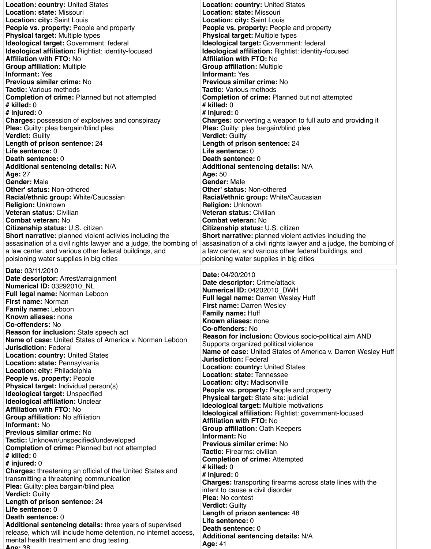| <b>Location: country: United States</b>                           | <b>Location: country: United States</b>                           |
|-------------------------------------------------------------------|-------------------------------------------------------------------|
| <b>Location: state: Missouri</b>                                  | <b>Location: state: Missouri</b>                                  |
| <b>Location: city: Saint Louis</b>                                | <b>Location: city: Saint Louis</b>                                |
| <b>People vs. property: People and property</b>                   | <b>People vs. property: People and property</b>                   |
| <b>Physical target: Multiple types</b>                            | <b>Physical target: Multiple types</b>                            |
| <b>Ideological target: Government: federal</b>                    | Ideological target: Government: federal                           |
| <b>Ideological affiliation:</b> Rightist: identity-focused        | Ideological affiliation: Rightist: identity-focused               |
| <b>Affiliation with FTO: No</b>                                   | <b>Affiliation with FTO: No</b>                                   |
| <b>Group affiliation: Multiple</b>                                | <b>Group affiliation: Multiple</b>                                |
| <b>Informant: Yes</b>                                             | <b>Informant: Yes</b>                                             |
| <b>Previous similar crime: No</b>                                 | <b>Previous similar crime: No</b>                                 |
| <b>Tactic: Various methods</b>                                    | <b>Tactic: Various methods</b>                                    |
| <b>Completion of crime: Planned but not attempted</b>             | <b>Completion of crime: Planned but not attempted</b>             |
| $#$ killed: $0$                                                   | # killed: $0$                                                     |
| # injured: $0$                                                    | # injured: $0$                                                    |
| <b>Charges:</b> possession of explosives and conspiracy           | <b>Charges:</b> converting a weapon to full auto and providing it |
| <b>Plea:</b> Guilty: plea bargain/blind plea                      | <b>Plea:</b> Guilty: plea bargain/blind plea                      |
| <b>Verdict: Guilty</b>                                            | <b>Verdict: Guilty</b>                                            |
| Length of prison sentence: 24                                     | Length of prison sentence: 24                                     |
| Life sentence: 0                                                  | Life sentence: 0                                                  |
| <b>Death sentence: 0</b>                                          | <b>Death sentence: 0</b>                                          |
| <b>Additional sentencing details: N/A</b>                         | <b>Additional sentencing details: N/A</b>                         |
| <b>Age: 27</b>                                                    | <b>Age: 50</b>                                                    |
| <b>Gender: Male</b>                                               | <b>Gender: Male</b>                                               |
| <b>Other' status: Non-othered</b>                                 | <b>Other' status: Non-othered</b>                                 |
| Racial/ethnic group: White/Caucasian                              | Racial/ethnic group: White/Caucasian                              |
| <b>Religion: Unknown</b>                                          | <b>Religion: Unknown</b>                                          |
| <b>Veteran status: Civilian</b>                                   | <b>Veteran status: Civilian</b>                                   |
| <b>Combat veteran: No</b>                                         | <b>Combat veteran: No</b>                                         |
| <b>Citizenship status: U.S. citizen</b>                           | <b>Citizenship status: U.S. citizen</b>                           |
| <b>Short narrative:</b> planned violent activies including the    | <b>Short narrative:</b> planned violent activies including the    |
| assasination of a civil rights lawyer and a judge, the bombing of | assasination of a civil rights lawyer and a judge, the bombing of |
| a law center, and various other federal buildings, and            | a law center, and various other federal buildings, and            |
| poisioning water supplies in big cities                           | poisioning water supplies in big cities                           |
|                                                                   |                                                                   |
| Date: 03/11/2010                                                  | <b>Date: 04/20/2010</b>                                           |
| Date descriptor: Arrest/arraignment                               | <b>Date descriptor: Crime/attack</b>                              |
| <b>Numerical ID: 03292010_NL</b>                                  | Numerical ID: 04202010 DWH                                        |
| <b>Full legal name: Norman Leboon</b>                             | Full legal name: Darren Wesley Huff                               |
| <b>First name: Norman</b>                                         | <b>First name: Darren Wesley</b>                                  |
| <b>Family name: Leboon</b>                                        | <b>Family name: Huff</b>                                          |
| <b>Known aliases: none</b>                                        | <b>Known aliases: none</b>                                        |
| <b>Co-offenders: No</b>                                           | <b>Co-offenders: No</b>                                           |
| <b>Reason for inclusion:</b> State speech act                     | <b>Reason for inclusion:</b> Obvious socio-political aim AND      |
| <b>Name of case:</b> United States of America v. Norman Leboon    | Supports organized political violence                             |
| <b>Jurisdiction: Federal</b>                                      | Name of case: United States of America v. Darren Wesley Huff      |
| <b>Location: country: United States</b>                           | <b>Jurisdiction: Federal</b>                                      |
| Location: state: Pennsylvania                                     | <b>Location: country: United States</b>                           |
| <b>Location: city: Philadelphia</b>                               | Location: state: Tennessee                                        |
| <b>People vs. property: People</b>                                | <b>Location: city: Madisonville</b>                               |

**Physical target:** Individual person(s) **Ideological target:** Unspecified **Ideological affiliation:** Unclear **Affiliation with FTO:** No **Group affiliation:** No affiliation **Informant:** No **Previous similar crime:** No **Tactic:** Unknown/unspecified/undeveloped **Completion of crime:** Planned but not attempted **# killed:** 0 **# injured:** 0 **Charges:** threatening an official of the United States and transmitting a threatening communication **Plea:** Guilty: plea bargain/blind plea **Verdict:** Guilty **Length of prison sentence:** 24 **Life sentence:** 0 **Death sentence:** 0 **Additional sentencing details:** three years of supervised release, which will include home detention, no internet access, mental health treatment and drug testing. **Age:** 38

**People vs. property:** People and property **Physical target:** State site: judicial **Ideological target:** Multiple motivations **Ideological affiliation:** Rightist: government-focused **Affiliation with FTO:** No **Group affiliation:** Oath Keepers **Informant:** No **Previous similar crime:** No **Tactic:** Firearms: civilian **Completion of crime:** Attempted **# killed:** 0 **# injured:** 0 **Charges:** transporting firearms across state lines with the intent to cause a civil disorder **Plea:** No contest **Verdict:** Guilty **Length of prison sentence:** 48 **Life sentence:** 0 **Death sentence:** 0 **Additional sentencing details:** N/A **Age:** 41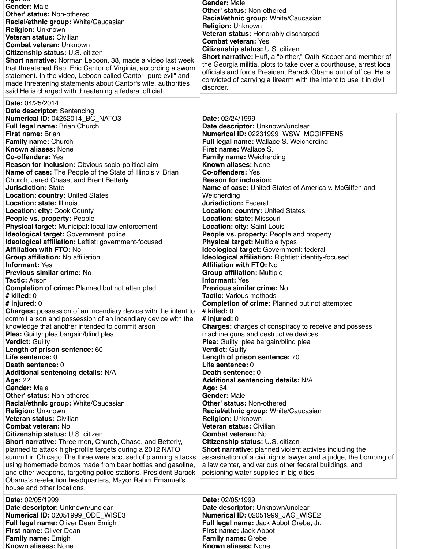| nyv. vv<br><b>Gender: Male</b><br><b>Other' status: Non-othered</b><br>Racial/ethnic group: White/Caucasian<br><b>Religion: Unknown</b><br><b>Veteran status: Civilian</b><br><b>Combat veteran: Unknown</b><br><b>Citizenship status: U.S. citizen</b><br><b>Short narrative:</b> Norman Leboon, 38, made a video last week | <b>Gender: Male</b><br><b>Other' status: Non-othered</b><br><b>Racial/ethnic group: White/Caucasian</b><br><b>Religion: Unknown</b><br>Veteran status: Honorably discharged<br><b>Combat veteran: Yes</b><br><b>Citizenship status: U.S. citizen</b><br><b>Short narrative:</b> Huff, a "birther," Oath Keeper and member of<br>the Georgia militia, plots to take over a courthouse, arrest local |
|------------------------------------------------------------------------------------------------------------------------------------------------------------------------------------------------------------------------------------------------------------------------------------------------------------------------------|----------------------------------------------------------------------------------------------------------------------------------------------------------------------------------------------------------------------------------------------------------------------------------------------------------------------------------------------------------------------------------------------------|
| that threatened Rep. Eric Cantor of Virginia, according a sworn<br>statement. In the video, Leboon called Cantor "pure evil" and<br>made threatening statements about Cantor's wife, authorities<br>said. He is charged with threatening a federal official.                                                                 | officials and force President Barack Obama out of office. He is<br>convicted of carrying a firearm with the intent to use it in civil<br>disorder.                                                                                                                                                                                                                                                 |
| <b>Date: 04/25/2014</b>                                                                                                                                                                                                                                                                                                      |                                                                                                                                                                                                                                                                                                                                                                                                    |
| <b>Date descriptor: Sentencing</b><br><b>Numerical ID: 04252014 BC NATO3</b><br><b>Full legal name: Brian Church</b><br><b>First name: Brian</b>                                                                                                                                                                             | <b>Date: 02/24/1999</b><br>Date descriptor: Unknown/unclear<br>Numerical ID: 02231999_WSW_MCGIFFEN5                                                                                                                                                                                                                                                                                                |
| <b>Family name: Church</b>                                                                                                                                                                                                                                                                                                   | <b>Full legal name: Wallace S. Weicherding</b>                                                                                                                                                                                                                                                                                                                                                     |
| <b>Known aliases: None</b>                                                                                                                                                                                                                                                                                                   | <b>First name: Wallace S.</b>                                                                                                                                                                                                                                                                                                                                                                      |
| <b>Co-offenders: Yes</b>                                                                                                                                                                                                                                                                                                     | <b>Family name: Weicherding</b>                                                                                                                                                                                                                                                                                                                                                                    |
| <b>Reason for inclusion:</b> Obvious socio-political aim                                                                                                                                                                                                                                                                     | <b>Known aliases: None</b>                                                                                                                                                                                                                                                                                                                                                                         |
| <b>Name of case:</b> The People of the State of Illinois v. Brian                                                                                                                                                                                                                                                            | <b>Co-offenders: Yes</b><br><b>Reason for inclusion:</b>                                                                                                                                                                                                                                                                                                                                           |
| Church, Jared Chase, and Brent Betterly<br><b>Jurisdiction: State</b>                                                                                                                                                                                                                                                        | <b>Name of case:</b> United States of America v. McGiffen and                                                                                                                                                                                                                                                                                                                                      |
| <b>Location: country: United States</b>                                                                                                                                                                                                                                                                                      | Weicherding                                                                                                                                                                                                                                                                                                                                                                                        |
| <b>Location: state: Illinois</b>                                                                                                                                                                                                                                                                                             | <b>Jurisdiction: Federal</b>                                                                                                                                                                                                                                                                                                                                                                       |
| <b>Location: city: Cook County</b>                                                                                                                                                                                                                                                                                           | <b>Location: country: United States</b>                                                                                                                                                                                                                                                                                                                                                            |
| People vs. property: People                                                                                                                                                                                                                                                                                                  | <b>Location: state: Missouri</b>                                                                                                                                                                                                                                                                                                                                                                   |
| <b>Physical target:</b> Municipal: local law enforcement                                                                                                                                                                                                                                                                     | <b>Location: city: Saint Louis</b>                                                                                                                                                                                                                                                                                                                                                                 |
| Ideological target: Government: police                                                                                                                                                                                                                                                                                       | <b>People vs. property: People and property</b>                                                                                                                                                                                                                                                                                                                                                    |
| <b>Ideological affiliation:</b> Leftist: government-focused                                                                                                                                                                                                                                                                  | <b>Physical target: Multiple types</b>                                                                                                                                                                                                                                                                                                                                                             |
| <b>Affiliation with FTO: No</b>                                                                                                                                                                                                                                                                                              | Ideological target: Government: federal                                                                                                                                                                                                                                                                                                                                                            |
| <b>Group affiliation: No affiliation</b>                                                                                                                                                                                                                                                                                     | <b>Ideological affiliation: Rightist: identity-focused</b>                                                                                                                                                                                                                                                                                                                                         |
| <b>Informant: Yes</b>                                                                                                                                                                                                                                                                                                        | <b>Affiliation with FTO: No</b>                                                                                                                                                                                                                                                                                                                                                                    |
| <b>Previous similar crime: No</b>                                                                                                                                                                                                                                                                                            | <b>Group affiliation: Multiple</b>                                                                                                                                                                                                                                                                                                                                                                 |
| <b>Tactic: Arson</b>                                                                                                                                                                                                                                                                                                         | <b>Informant: Yes</b>                                                                                                                                                                                                                                                                                                                                                                              |
| <b>Completion of crime:</b> Planned but not attempted<br># killed: $0$                                                                                                                                                                                                                                                       | <b>Previous similar crime: No</b><br><b>Tactic: Various methods</b>                                                                                                                                                                                                                                                                                                                                |
| # injured: $0$                                                                                                                                                                                                                                                                                                               | <b>Completion of crime: Planned but not attempted</b>                                                                                                                                                                                                                                                                                                                                              |
| <b>Charges:</b> possession of an incendiary device with the intent to                                                                                                                                                                                                                                                        | $#$ killed: $0$                                                                                                                                                                                                                                                                                                                                                                                    |
| commit arson and possession of an incendiary device with the                                                                                                                                                                                                                                                                 | # injured: $0$                                                                                                                                                                                                                                                                                                                                                                                     |
| knowledge that another intended to commit arson                                                                                                                                                                                                                                                                              | <b>Charges:</b> charges of conspiracy to receive and possess                                                                                                                                                                                                                                                                                                                                       |
| <b>Plea:</b> Guilty: plea bargain/blind plea                                                                                                                                                                                                                                                                                 | machine guns and destructive devices                                                                                                                                                                                                                                                                                                                                                               |
| <b>Verdict: Guilty</b>                                                                                                                                                                                                                                                                                                       | <b>Plea:</b> Guilty: plea bargain/blind plea                                                                                                                                                                                                                                                                                                                                                       |
| Length of prison sentence: 60                                                                                                                                                                                                                                                                                                | <b>Verdict: Guilty</b>                                                                                                                                                                                                                                                                                                                                                                             |
| Life sentence: 0                                                                                                                                                                                                                                                                                                             | <b>Length of prison sentence: 70</b>                                                                                                                                                                                                                                                                                                                                                               |
| <b>Death sentence: 0</b>                                                                                                                                                                                                                                                                                                     | Life sentence: 0                                                                                                                                                                                                                                                                                                                                                                                   |
| <b>Additional sentencing details: N/A</b>                                                                                                                                                                                                                                                                                    | <b>Death sentence: 0</b>                                                                                                                                                                                                                                                                                                                                                                           |
| <b>Age: 22</b>                                                                                                                                                                                                                                                                                                               | <b>Additional sentencing details: N/A</b>                                                                                                                                                                                                                                                                                                                                                          |

| <b>Gender: Male</b>                                             | <b>Age: 64</b>                                                    |
|-----------------------------------------------------------------|-------------------------------------------------------------------|
| <b>Other' status: Non-othered</b>                               | <b>Gender: Male</b>                                               |
| <b>Racial/ethnic group: White/Caucasian</b>                     | <b>Other' status: Non-othered</b>                                 |
| <b>Religion: Unknown</b>                                        | Racial/ethnic group: White/Caucasian                              |
| <b>Veteran status: Civilian</b>                                 | <b>Religion: Unknown</b>                                          |
| <b>Combat veteran: No</b>                                       | <b>Veteran status: Civilian</b>                                   |
| <b>Citizenship status: U.S. citizen</b>                         | <b>Combat veteran: No</b>                                         |
| <b>Short narrative:</b> Three men, Church, Chase, and Betterly, | <b>Citizenship status: U.S. citizen</b>                           |
| planned to attack high-profile targets during a 2012 NATO       | Short narrative: planned violent activies including the           |
| summit in Chicago The three were accused of planning attacks    | assasination of a civil rights lawyer and a judge, the bombing of |
| using homemade bombs made from beer bottles and gasoline,       | a law center, and various other federal buildings, and            |
| and other weapons, targeting police stations, President Barack  | poisioning water supplies in big cities                           |
| Obama's re-election headquarters, Mayor Rahm Emanuel's          |                                                                   |
| house and other locations.                                      |                                                                   |
| <b>Date: 02/05/1999</b>                                         | <b>Date: 02/05/1999</b>                                           |
| Date descriptor: Unknown/unclear                                | Date descriptor: Unknown/unclear                                  |
| Numerical ID: 02051999_ODE_WISE3                                | Numerical ID: 02051999 JAG WISE2                                  |
| <b>Full legal name: Oliver Dean Emigh</b>                       | <b>Full legal name: Jack Abbot Grebe, Jr.</b>                     |
| <b>First name: Oliver Dean</b>                                  | <b>First name: Jack Abbot</b>                                     |
| <b>Family name: Emigh</b>                                       | <b>Family name: Grebe</b>                                         |
| <b>Known aliases: None</b>                                      | <b>Known aliases: None</b>                                        |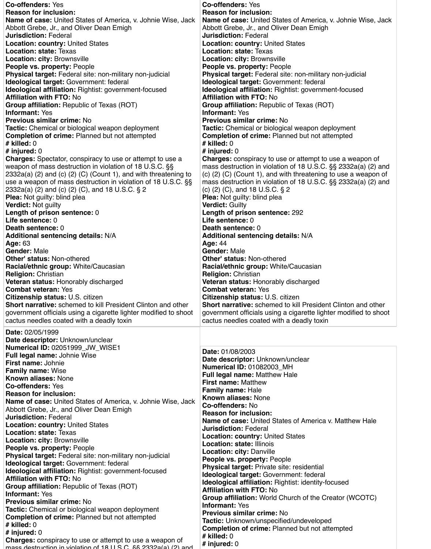| <b>Co-offenders: Yes</b>                                                  | <b>Co-offenders: Yes</b>                                                  |
|---------------------------------------------------------------------------|---------------------------------------------------------------------------|
| <b>Reason for inclusion:</b>                                              | <b>Reason for inclusion:</b>                                              |
| <b>Name of case:</b> United States of America, v. Johnie Wise, Jack       | <b>Name of case:</b> United States of America, v. Johnie Wise, Jack       |
| Abbott Grebe, Jr., and Oliver Dean Emigh                                  | Abbott Grebe, Jr., and Oliver Dean Emigh                                  |
| <b>Jurisdiction: Federal</b>                                              | <b>Jurisdiction: Federal</b>                                              |
| <b>Location: country: United States</b>                                   | <b>Location: country: United States</b>                                   |
| <b>Location: state: Texas</b>                                             | <b>Location: state: Texas</b>                                             |
| <b>Location: city: Brownsville</b>                                        | <b>Location: city: Brownsville</b>                                        |
| <b>People vs. property: People</b>                                        | <b>People vs. property: People</b>                                        |
| <b>Physical target:</b> Federal site: non-military non-judicial           | <b>Physical target: Federal site: non-military non-judicial</b>           |
| <b>Ideological target: Government: federal</b>                            | <b>Ideological target: Government: federal</b>                            |
| <b>Ideological affiliation: Rightist: government-focused</b>              | Ideological affiliation: Rightist: government-focused                     |
| <b>Affiliation with FTO: No</b>                                           | <b>Affiliation with FTO: No</b>                                           |
| <b>Group affiliation:</b> Republic of Texas (ROT)                         | <b>Group affiliation:</b> Republic of Texas (ROT)                         |
| <b>Informant: Yes</b>                                                     | <b>Informant: Yes</b>                                                     |
| <b>Previous similar crime: No</b>                                         | <b>Previous similar crime: No</b>                                         |
| <b>Tactic:</b> Chemical or biological weapon deployment                   | <b>Tactic:</b> Chemical or biological weapon deployment                   |
| <b>Completion of crime: Planned but not attempted</b>                     | <b>Completion of crime: Planned but not attempted</b>                     |
| $#$ killed: $0$                                                           | $#$ killed: $0$                                                           |
| # injured: $0$                                                            | # injured: $0$                                                            |
| <b>Charges:</b> Spectator, conspiracy to use or attempt to use a          | <b>Charges:</b> conspiracy to use or attempt to use a weapon of           |
| weapon of mass destruction in violation of 18 U.S.C. §§                   | mass destruction in violation of 18 U.S.C. §§ 2332a(a) (2) and            |
| $2332a(a)$ (2) and (c) (2) (C) (Count 1), and with threatening to         | $(c)$ (2) (C) (Count 1), and with threatening to use a weapon of          |
| use a weapon of mass destruction in violation of 18 U.S.C. §§             | mass destruction in violation of 18 U.S.C. §§ 2332a(a) (2) and            |
| 2332a(a) (2) and (c) (2) (C), and 18 U.S.C. $\S 2$                        | (c) $(2)$ $(C)$ , and 18 U.S.C. § 2                                       |
| <b>Plea:</b> Not guilty: blind plea                                       | <b>Plea:</b> Not guilty: blind plea                                       |
| <b>Verdict: Not guilty</b>                                                | <b>Verdict: Guilty</b>                                                    |
| Length of prison sentence: 0                                              | Length of prison sentence: 292                                            |
| Life sentence: 0                                                          | Life sentence: 0                                                          |
| <b>Death sentence: 0</b>                                                  | <b>Death sentence: 0</b>                                                  |
| <b>Additional sentencing details: N/A</b>                                 | <b>Additional sentencing details: N/A</b>                                 |
| <b>Age: 63</b>                                                            | <b>Age: 44</b>                                                            |
| <b>Gender: Male</b>                                                       | <b>Gender: Male</b>                                                       |
| <b>Other' status: Non-othered</b>                                         | <b>Other' status: Non-othered</b>                                         |
|                                                                           |                                                                           |
| <b>Racial/ethnic group: White/Caucasian</b>                               | <b>Racial/ethnic group: White/Caucasian</b>                               |
| <b>Religion: Christian</b>                                                | <b>Religion: Christian</b>                                                |
| <b>Veteran status: Honorably discharged</b><br><b>Combat veteran: Yes</b> | <b>Veteran status: Honorably discharged</b><br><b>Combat veteran: Yes</b> |
|                                                                           |                                                                           |
| <b>Citizenship status: U.S. citizen</b>                                   | <b>Citizenship status: U.S. citizen</b>                                   |
| <b>Short narrative:</b> schemed to kill President Clinton and other       | <b>Short narrative:</b> schemed to kill President Clinton and other       |
| government officials using a cigarette lighter modified to shoot          | government officials using a cigarette lighter modified to shoot          |
| cactus needles coated with a deadly toxin                                 | cactus needles coated with a deadly toxin                                 |
| <b>Date: 02/05/1999</b>                                                   |                                                                           |
| Date descriptor: Unknown/unclear                                          |                                                                           |
| <b>Numerical ID: 02051999_JW_WISE1</b>                                    |                                                                           |
| <b>Full legal name: Johnie Wise</b>                                       | <b>Date: 01/08/2003</b>                                                   |
| <b>First name: Johnie</b>                                                 | Date descriptor: Unknown/unclear                                          |
| <b>Family name: Wise</b>                                                  | <b>Numerical ID: 01082003_MH</b>                                          |
| <b>Known aliases: None</b>                                                | <b>Full legal name: Matthew Hale</b>                                      |
|                                                                           | <b>First name: Matthew</b>                                                |

**Co-offenders:** Yes **Reason for inclusion: Name of case:** United States of America, v. Johnie Wise, Jack Abbott Grebe, Jr., and Oliver Dean Emigh **Jurisdiction:** Federal **Location: country:** United States **Location: state:** Texas **Location: city:** Brownsville **People vs. property:** People **Physical target:** Federal site: non-military non-judicial **Ideological target:** Government: federal **Ideological affiliation:** Rightist: government-focused **Affiliation with FTO:** No **Group affiliation:** Republic of Texas (ROT) **Informant:** Yes **Previous similar crime:** No **Tactic:** Chemical or biological weapon deployment **Completion of crime:** Planned but not attempted **# killed:** 0 **# injured:** 0 **Charges:** conspiracy to use or attempt to use a weapon of mass destruction in violation of 18 U.S.C. §§ 2332a(a) (2) and

**Family name:** Hale **Known aliases:** None **Co-offenders:** No **Reason for inclusion: Name of case:** United States of America v. Matthew Hale **Jurisdiction:** Federal **Location: country:** United States **Location: state:** Illinois **Location: city:** Danville **People vs. property:** People **Physical target:** Private site: residential **Ideological target:** Government: federal **Ideological affiliation:** Rightist: identity-focused **Affiliation with FTO:** No **Group affiliation:** World Church of the Creator (WCOTC) **Informant:** Yes **Previous similar crime:** No **Tactic:** Unknown/unspecified/undeveloped **Completion of crime:** Planned but not attempted **# killed:** 0 **# injured:** 0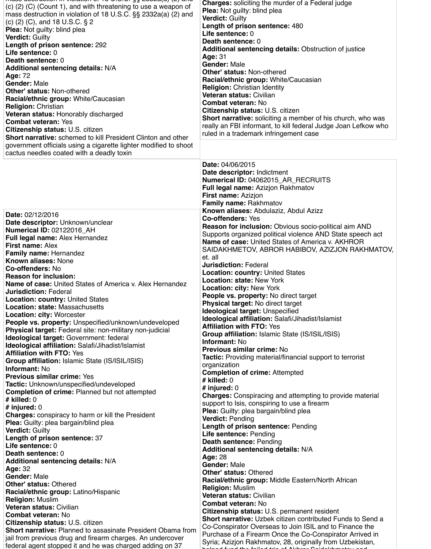| mass accuración in violation or 10 0.0.0. SS 2002a(a) (2) and<br>$(c)$ (2) (C) (Count 1), and with threatening to use a weapon of<br>mass destruction in violation of 18 U.S.C. §§ 2332a(a) (2) and<br>(c) $(2)$ $(C)$ , and 18 U.S.C. § 2<br><b>Plea:</b> Not guilty: blind plea<br><b>Verdict: Guilty</b><br>Length of prison sentence: 292<br>Life sentence: 0<br><b>Death sentence: 0</b><br><b>Additional sentencing details: N/A</b><br><b>Age: 72</b><br><b>Gender: Male</b><br><b>Other' status: Non-othered</b><br>Racial/ethnic group: White/Caucasian<br><b>Religion: Christian</b><br><b>Veteran status: Honorably discharged</b><br><b>Combat veteran: Yes</b><br><b>Citizenship status: U.S. citizen</b><br><b>Short narrative:</b> schemed to kill President Clinton and other<br>government officials using a cigarette lighter modified to shoot<br>cactus needles coated with a deadly toxin                                              | <b>Charges:</b> soliciting the murder of a Federal judge<br><b>Plea:</b> Not guilty: blind plea<br><b>Verdict: Guilty</b><br>Length of prison sentence: 480<br>Life sentence: 0<br><b>Death sentence: 0</b><br><b>Additional sentencing details:</b> Obstruction of justice<br><b>Age: 31</b><br><b>Gender: Male</b><br><b>Other' status: Non-othered</b><br><b>Racial/ethnic group: White/Caucasian</b><br><b>Religion: Christian Identity</b><br>Veteran status: Civilian<br><b>Combat veteran: No</b><br><b>Citizenship status: U.S. citizen</b><br><b>Short narrative:</b> soliciting a member of his church, who was<br>really an FBI informant, to kill federal Judge Joan Lefkow who<br>ruled in a trademark infringement case                                                                                                                                                                                                                                   |
|-------------------------------------------------------------------------------------------------------------------------------------------------------------------------------------------------------------------------------------------------------------------------------------------------------------------------------------------------------------------------------------------------------------------------------------------------------------------------------------------------------------------------------------------------------------------------------------------------------------------------------------------------------------------------------------------------------------------------------------------------------------------------------------------------------------------------------------------------------------------------------------------------------------------------------------------------------------|-------------------------------------------------------------------------------------------------------------------------------------------------------------------------------------------------------------------------------------------------------------------------------------------------------------------------------------------------------------------------------------------------------------------------------------------------------------------------------------------------------------------------------------------------------------------------------------------------------------------------------------------------------------------------------------------------------------------------------------------------------------------------------------------------------------------------------------------------------------------------------------------------------------------------------------------------------------------------|
|                                                                                                                                                                                                                                                                                                                                                                                                                                                                                                                                                                                                                                                                                                                                                                                                                                                                                                                                                             | <b>Date: 04/06/2015</b><br>Date descriptor: Indictment<br>Numerical ID: 04062015 AR RECRUITS<br><b>Full legal name: Azizjon Rakhmatov</b><br><b>First name: Azizjon</b><br><b>Family name: Rakhmatov</b>                                                                                                                                                                                                                                                                                                                                                                                                                                                                                                                                                                                                                                                                                                                                                                |
| <b>Date: 02/12/2016</b><br>Date descriptor: Unknown/unclear<br><b>Numerical ID: 02122016_AH</b><br><b>Full legal name: Alex Hernandez</b><br><b>First name: Alex</b><br><b>Family name: Hernandez</b><br><b>Known aliases: None</b><br><b>Co-offenders: No</b><br><b>Reason for inclusion:</b><br><b>Name of case:</b> United States of America v. Alex Hernandez<br><b>Jurisdiction: Federal</b><br><b>Location: country: United States</b><br><b>Location: state: Massachusetts</b><br><b>Location: city: Worcester</b><br>People vs. property: Unspecified/unknown/undeveloped<br>Physical target: Federal site: non-military non-judicial<br>Ideological target: Government: federal<br><b>Ideological affiliation: Salafi/Jihadist/Islamist</b><br><b>Affiliation with FTO: Yes</b><br><b>Group affiliation: Islamic State (IS/ISIL/ISIS)</b><br><b>Informant: No</b><br><b>Previous similar crime: Yes</b><br>Testia: Unknown/upopooitiad/updovalanad | Known aliases: Abdulaziz, Abdul Azizz<br><b>Co-offenders: Yes</b><br><b>Reason for inclusion:</b> Obvious socio-political aim AND<br>Supports organized political violence AND State speech act<br>Name of case: United States of America v. AKHROR<br>SAIDAKHMETOV, ABROR HABIBOV, AZIZJON RAKHMATOV,<br>et. all<br><b>Jurisdiction: Federal</b><br><b>Location: country: United States</b><br><b>Location: state: New York</b><br><b>Location: city: New York</b><br><b>People vs. property: No direct target</b><br><b>Physical target: No direct target</b><br><b>Ideological target: Unspecified</b><br><b>Ideological affiliation: Salafi/Jihadist/Islamist</b><br><b>Affiliation with FTO: Yes</b><br>Group affiliation: Islamic State (IS/ISIL/ISIS)<br><b>Informant: No</b><br><b>Previous similar crime: No</b><br><b>Tactic:</b> Providing material/financial support to terrorist<br>organization<br><b>Completion of crime: Attempted</b><br>$#$ killed: 0 |

**Tactic:** Unknown/unspecified/undeveloped **Completion of crime:** Planned but not attempted **# killed:** 0 **# injured:** 0 **Charges:** conspiracy to harm or kill the President **Plea:** Guilty: plea bargain/blind plea **Verdict:** Guilty **Length of prison sentence:** 37 **Life sentence:** 0 **Death sentence:** 0 **Additional sentencing details:** N/A **Age:** 32 **Gender:** Male **Other' status:** Othered **Racial/ethnic group:** Latino/Hispanic **Religion:** Muslim **Veteran status:** Civilian **Combat veteran:** No **Citizenship status:** U.S. citizen **Short narrative:** Planned to assasinate President Obama from jail from previous drug and firearm charges. An undercover federal agent stopped it and he was charged adding on 37

 $m$ ass destruction in violation of 18 U.S.C.  $33$  2002a(d) (2) and

**# injured:** 0 **Charges:** Conspiracing and attempting to provide material support to Isis, conspiring to use a firearm **Plea:** Guilty: plea bargain/blind plea **Verdict:** Pending **Length of prison sentence:** Pending **Life sentence:** Pending **Death sentence:** Pending **Additional sentencing details:** N/A **Age:** 28 **Gender:** Male **Other' status:** Othered **Racial/ethnic group:** Middle Eastern/North African **Religion:** Muslim **Veteran status:** Civilian **Combat veteran:** No **Citizenship status:** U.S. permanent resident **Short narrative:** Uzbek citizen contributed Funds to Send a Co-Conspirator Overseas to Join ISIL and to Finance the Purchase of a Firearm Once the Co-Conspirator Arrived in Syria; Azizjon Rakhmatov, 28, originally from Uzbekistan, helped fund the foiled trip of Akhror Saidakhmetov and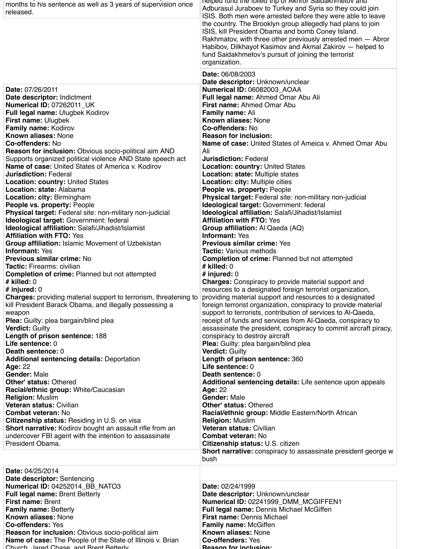federal agent stopped it and he was charged adding on 37

| months to his sentence as well as 3 years of supervision once<br>released.                                                                                                                                                | neiped lund the lolled trip of AKNIOI Saldakhmetov and<br>Adburasul Juraboev to Turkey and Syria so they could join<br>ISIS. Both men were arrested before they were able to leave<br>the country. The Brooklyn group allegedly had plans to join<br>ISIS, kill President Obama and bomb Coney Island.<br>Rakhmatov, with three other previously arrested men - Abror<br>Habibov, Dilkhayot Kasimov and Akmal Zakirov — helped to<br>fund Saidakhmetov's pursuit of joining the terrorist<br>organization. |
|---------------------------------------------------------------------------------------------------------------------------------------------------------------------------------------------------------------------------|------------------------------------------------------------------------------------------------------------------------------------------------------------------------------------------------------------------------------------------------------------------------------------------------------------------------------------------------------------------------------------------------------------------------------------------------------------------------------------------------------------|
| Date: 07/26/2011<br>Date descriptor: Indictment<br><b>Numerical ID: 07262011_UK</b><br><b>Full legal name: Ulugbek Kodirov</b><br><b>First name: Ulugbek</b><br><b>Family name: Kodirov</b><br><b>Known aliases: None</b> | Date: 06/08/2003<br>Date descriptor: Unknown/unclear<br>Numerical ID: 06082003_AOAA<br><b>Full legal name: Ahmed Omar Abu Ali</b><br><b>First name: Ahmed Omar Abu</b><br><b>Family name: Ali</b><br><b>Known aliases: None</b><br><b>Co-offenders: No</b><br><b>Reason for inclusion:</b>                                                                                                                                                                                                                 |
| <b>Co-offenders: No</b>                                                                                                                                                                                                   | <b>Name of case:</b> United States of Ameica v. Ahmed Omar Abu                                                                                                                                                                                                                                                                                                                                                                                                                                             |
| <b>Reason for inclusion:</b> Obvious socio-political aim AND                                                                                                                                                              | Ali                                                                                                                                                                                                                                                                                                                                                                                                                                                                                                        |
| Supports organized political violence AND State speech act                                                                                                                                                                | <b>Jurisdiction: Federal</b>                                                                                                                                                                                                                                                                                                                                                                                                                                                                               |
| <b>Name of case:</b> United States of America v. Kodirov                                                                                                                                                                  | <b>Location: country: United States</b>                                                                                                                                                                                                                                                                                                                                                                                                                                                                    |
| <b>Jurisdiction: Federal</b>                                                                                                                                                                                              | <b>Location: state: Multiple states</b>                                                                                                                                                                                                                                                                                                                                                                                                                                                                    |
| <b>Location: country: United States</b>                                                                                                                                                                                   | <b>Location: city: Multiple cities</b>                                                                                                                                                                                                                                                                                                                                                                                                                                                                     |
| <b>Location: state: Alabama</b>                                                                                                                                                                                           | <b>People vs. property: People</b>                                                                                                                                                                                                                                                                                                                                                                                                                                                                         |
| <b>Location: city: Birmingham</b>                                                                                                                                                                                         | Physical target: Federal site: non-military non-judicial                                                                                                                                                                                                                                                                                                                                                                                                                                                   |
| <b>People vs. property: People</b>                                                                                                                                                                                        | <b>Ideological target: Government: federal</b>                                                                                                                                                                                                                                                                                                                                                                                                                                                             |
| <b>Physical target:</b> Federal site: non-military non-judicial                                                                                                                                                           | <b>Ideological affiliation: Salafi/Jihadist/Islamist</b>                                                                                                                                                                                                                                                                                                                                                                                                                                                   |
| Ideological target: Government: federal                                                                                                                                                                                   | <b>Affiliation with FTO: Yes</b>                                                                                                                                                                                                                                                                                                                                                                                                                                                                           |
| <b>Ideological affiliation: Salafi/Jihadist/Islamist</b>                                                                                                                                                                  | Group affiliation: Al Qaeda (AQ)                                                                                                                                                                                                                                                                                                                                                                                                                                                                           |
| <b>Affiliation with FTO: Yes</b>                                                                                                                                                                                          | <b>Informant: Yes</b>                                                                                                                                                                                                                                                                                                                                                                                                                                                                                      |
| <b>Group affiliation: Islamic Movement of Uzbekistan</b>                                                                                                                                                                  | <b>Previous similar crime: Yes</b>                                                                                                                                                                                                                                                                                                                                                                                                                                                                         |
| <b>Informant: Yes</b>                                                                                                                                                                                                     | <b>Tactic: Various methods</b>                                                                                                                                                                                                                                                                                                                                                                                                                                                                             |
| <b>Previous similar crime: No</b>                                                                                                                                                                                         | <b>Completion of crime: Planned but not attempted</b>                                                                                                                                                                                                                                                                                                                                                                                                                                                      |
| <b>Tactic: Firearms: civilian</b>                                                                                                                                                                                         | # killed: $0$                                                                                                                                                                                                                                                                                                                                                                                                                                                                                              |
| <b>Completion of crime: Planned but not attempted</b>                                                                                                                                                                     | # injured: $0$                                                                                                                                                                                                                                                                                                                                                                                                                                                                                             |
| # killed: $0$                                                                                                                                                                                                             | <b>Charges:</b> Conspiracy to provide material support and                                                                                                                                                                                                                                                                                                                                                                                                                                                 |
| # injured: $0$                                                                                                                                                                                                            | resources to a designated foreign terrorist organization,                                                                                                                                                                                                                                                                                                                                                                                                                                                  |
| <b>Charges:</b> providing material support to terrorism, threatening to                                                                                                                                                   | providing material support and resources to a designated                                                                                                                                                                                                                                                                                                                                                                                                                                                   |
| kill President Barack Obama, and illegally possessing a                                                                                                                                                                   | foreign terrorist organization, conspiracy to provide material                                                                                                                                                                                                                                                                                                                                                                                                                                             |
| weapon                                                                                                                                                                                                                    | support to terrorists, contribution of services to Al-Qaeda,                                                                                                                                                                                                                                                                                                                                                                                                                                               |
| <b>Plea:</b> Guilty: plea bargain/blind plea                                                                                                                                                                              | receipt of funds and services from Al-Qaeda, conspiracy to                                                                                                                                                                                                                                                                                                                                                                                                                                                 |
| <b>Verdict: Guilty</b>                                                                                                                                                                                                    | assassinate the president, conspiracy to commit aircraft piracy,                                                                                                                                                                                                                                                                                                                                                                                                                                           |
| Length of prison sentence: 188                                                                                                                                                                                            | conspiracy to destroy aircraft                                                                                                                                                                                                                                                                                                                                                                                                                                                                             |
| Life sentence: 0                                                                                                                                                                                                          | <b>Plea:</b> Guilty: plea bargain/blind plea                                                                                                                                                                                                                                                                                                                                                                                                                                                               |
| <b>Death sentence: 0</b>                                                                                                                                                                                                  | <b>Verdict: Guilty</b>                                                                                                                                                                                                                                                                                                                                                                                                                                                                                     |
| <b>Additional sentencing details: Deportation</b>                                                                                                                                                                         | Length of prison sentence: 360                                                                                                                                                                                                                                                                                                                                                                                                                                                                             |
| <b>Age: 22</b>                                                                                                                                                                                                            | Life sentence: 0                                                                                                                                                                                                                                                                                                                                                                                                                                                                                           |
| <b>Gender: Male</b>                                                                                                                                                                                                       | <b>Death sentence: 0</b>                                                                                                                                                                                                                                                                                                                                                                                                                                                                                   |
| <b>Other' status: Othered</b>                                                                                                                                                                                             | Additional sentencing details: Life sentence upon appeals                                                                                                                                                                                                                                                                                                                                                                                                                                                  |

| Racial/ethnic group: White/Caucasian<br><b>Religion: Muslim</b><br><b>Veteran status: Civilian</b><br><b>Combat veteran: No</b><br><b>Citizenship status: Residing in U.S. on visa</b><br><b>Short narrative:</b> Kodirov bought an assault rifle from an<br>undercover FBI agent with the intention to assassinate<br>President Obama.                                                                                                    | <b>Age: 22</b><br><b>Gender: Male</b><br><b>Other' status: Othered</b><br><b>Racial/ethnic group:</b> Middle Eastern/North African<br><b>Religion: Muslim</b><br><b>Veteran status: Civilian</b><br><b>Combat veteran: No</b><br><b>Citizenship status: U.S. citizen</b>                                       |
|--------------------------------------------------------------------------------------------------------------------------------------------------------------------------------------------------------------------------------------------------------------------------------------------------------------------------------------------------------------------------------------------------------------------------------------------|----------------------------------------------------------------------------------------------------------------------------------------------------------------------------------------------------------------------------------------------------------------------------------------------------------------|
|                                                                                                                                                                                                                                                                                                                                                                                                                                            | <b>Short narrative:</b> conspiracy to assassinate president george w<br>bush                                                                                                                                                                                                                                   |
| <b>Date: 04/25/2014</b><br><b>Date descriptor: Sentencing</b><br>Numerical ID: 04252014 BB NATO3<br><b>Full legal name: Brent Betterly</b><br><b>First name: Brent</b><br><b>Family name: Betterly</b><br><b>Known aliases: None</b><br><b>Co-offenders: Yes</b><br><b>Reason for inclusion:</b> Obvious socio-political aim<br><b>Name of case:</b> The People of the State of Illinois v. Brian<br>Church Jared Chase and Rrent Retterly | <b>Date: 02/24/1999</b><br>Date descriptor: Unknown/unclear<br>Numerical ID: 02241999 DMM MCGIFFEN1<br><b>Full legal name: Dennis Michael McGiffen</b><br><b>First name: Dennis Michael</b><br><b>Family name: McGiffen</b><br><b>Known aliases: None</b><br><b>Co-offenders: Yes</b><br>Reason for inclusion. |